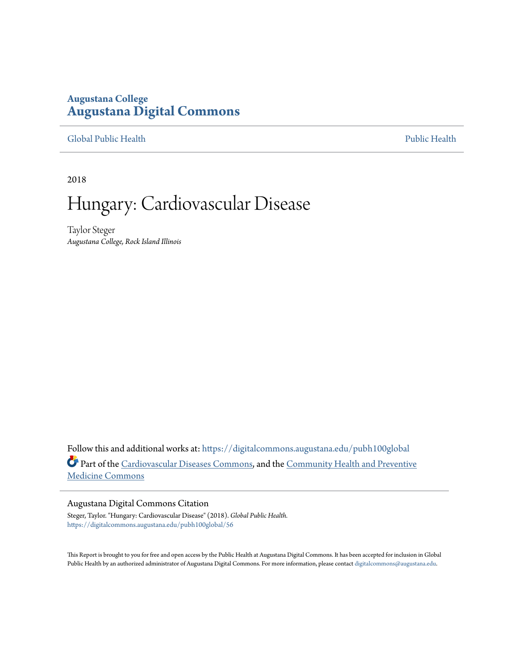## **Augustana College [Augustana Digital Commons](https://digitalcommons.augustana.edu?utm_source=digitalcommons.augustana.edu%2Fpubh100global%2F56&utm_medium=PDF&utm_campaign=PDFCoverPages)**

#### [Global Public Health](https://digitalcommons.augustana.edu/pubh100global?utm_source=digitalcommons.augustana.edu%2Fpubh100global%2F56&utm_medium=PDF&utm_campaign=PDFCoverPages) [Public Health](https://digitalcommons.augustana.edu/publichealth?utm_source=digitalcommons.augustana.edu%2Fpubh100global%2F56&utm_medium=PDF&utm_campaign=PDFCoverPages)

2018

# Hungary: Cardiovascular Disease

Taylor Steger *Augustana College, Rock Island Illinois*

Follow this and additional works at: [https://digitalcommons.augustana.edu/pubh100global](https://digitalcommons.augustana.edu/pubh100global?utm_source=digitalcommons.augustana.edu%2Fpubh100global%2F56&utm_medium=PDF&utm_campaign=PDFCoverPages) Part of the [Cardiovascular Diseases Commons,](http://network.bepress.com/hgg/discipline/929?utm_source=digitalcommons.augustana.edu%2Fpubh100global%2F56&utm_medium=PDF&utm_campaign=PDFCoverPages) and the [Community Health and Preventive](http://network.bepress.com/hgg/discipline/744?utm_source=digitalcommons.augustana.edu%2Fpubh100global%2F56&utm_medium=PDF&utm_campaign=PDFCoverPages) [Medicine Commons](http://network.bepress.com/hgg/discipline/744?utm_source=digitalcommons.augustana.edu%2Fpubh100global%2F56&utm_medium=PDF&utm_campaign=PDFCoverPages)

#### Augustana Digital Commons Citation

Steger, Taylor. "Hungary: Cardiovascular Disease" (2018). *Global Public Health.* [https://digitalcommons.augustana.edu/pubh100global/56](https://digitalcommons.augustana.edu/pubh100global/56?utm_source=digitalcommons.augustana.edu%2Fpubh100global%2F56&utm_medium=PDF&utm_campaign=PDFCoverPages)

This Report is brought to you for free and open access by the Public Health at Augustana Digital Commons. It has been accepted for inclusion in Global Public Health by an authorized administrator of Augustana Digital Commons. For more information, please contact [digitalcommons@augustana.edu.](mailto:digitalcommons@augustana.edu)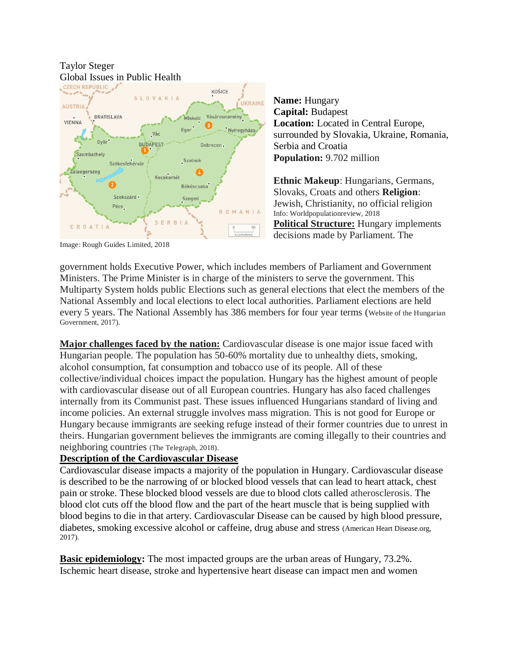

**Name:** Hungary **Capital:** Budapest **Location:** Located in Central Europe, surrounded by Slovakia, Ukraine, Romania, Serbia and Croatia **Population:** 9.702 million

**Ethnic Makeup**: Hungarians, Germans, Slovaks, Croats and others **Religion**: Jewish, Christianity, no official religion Info: Worldpopulationreview, 2018 **Political Structure:** Hungary implements decisions made by Parliament. The

Image: Rough Guides Limited, 2018

government holds Executive Power, which includes members of Parliament and Government Ministers. The Prime Minister is in charge of the ministers to serve the government. This Multiparty System holds public Elections such as general elections that elect the members of the National Assembly and local elections to elect local authorities. Parliament elections are held every 5 years. The National Assembly has 386 members for four year terms (Website of the Hungarian Government, 2017).

**Major challenges faced by the nation:** Cardiovascular disease is one major issue faced with Hungarian people. The population has 50-60% mortality due to unhealthy diets, smoking, alcohol consumption, fat consumption and tobacco use of its people. All of these collective/individual choices impact the population. Hungary has the highest amount of people with cardiovascular disease out of all European countries. Hungary has also faced challenges internally from its Communist past. These issues influenced Hungarians standard of living and income policies. An external struggle involves mass migration. This is not good for Europe or Hungary because immigrants are seeking refuge instead of their former countries due to unrest in theirs. Hungarian government believes the immigrants are coming illegally to their countries and neighboring countries (The Telegraph, 2018).

### **Description of the Cardiovascular Disease**

Cardiovascular disease impacts a majority of the population in Hungary. Cardiovascular disease is described to be the narrowing of or blocked blood vessels that can lead to heart attack, chest pain or stroke. These blocked blood vessels are due to blood clots called atherosclerosis. The blood clot cuts off the blood flow and the part of the heart muscle that is being supplied with blood begins to die in that artery. Cardiovascular Disease can be caused by high blood pressure, diabetes, smoking excessive alcohol or caffeine, drug abuse and stress (American Heart Disease.org, 2017).

**Basic epidemiology:** The most impacted groups are the urban areas of Hungary, 73.2%. Ischemic heart disease, stroke and hypertensive heart disease can impact men and women